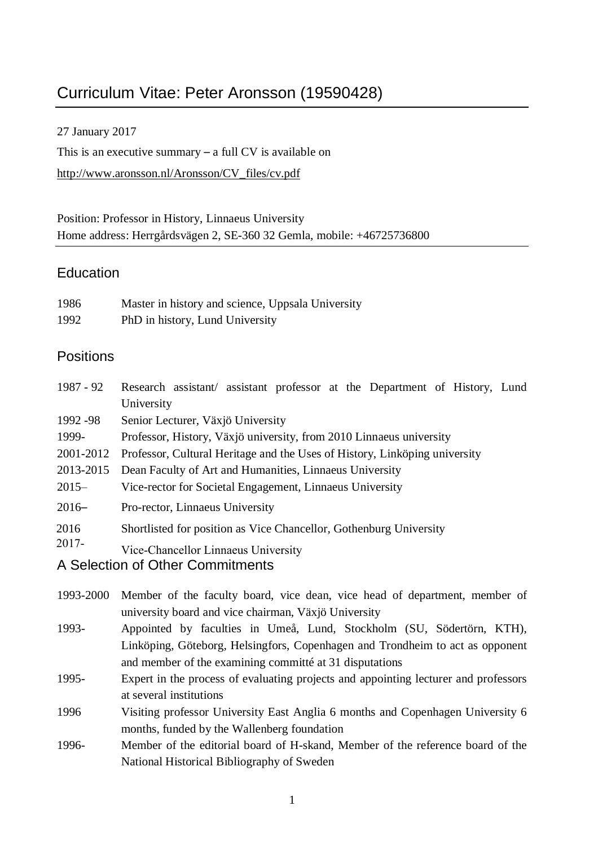# Curriculum Vitae: Peter Aronsson (19590428)

27 January 2017

This is an executive summary – a full CV is available on [http://www.aronsson.nl/Aronsson/CV\\_files/cv.pdf](http://www.aronsson.nl/Aronsson/CV_files/cv.pdf)

Position: Professor in History, Linnaeus University Home address: Herrgårdsvägen 2, SE-360 32 Gemla, mobile: +46725736800

# **Education**

| 1986 | Master in history and science, Uppsala University |
|------|---------------------------------------------------|
| 1992 | PhD in history, Lund University                   |

# **Positions**

| 1987 - 92     | Research assistant/ assistant professor at the Department of History, Lund |
|---------------|----------------------------------------------------------------------------|
|               | University                                                                 |
| 1992 - 98     | Senior Lecturer, Växjö University                                          |
| 1999-         | Professor, History, Växjö university, from 2010 Linnaeus university        |
| 2001-2012     | Professor, Cultural Heritage and the Uses of History, Linköping university |
| 2013-2015     | Dean Faculty of Art and Humanities, Linnaeus University                    |
| $2015 -$      | Vice-rector for Societal Engagement, Linnaeus University                   |
| $2016-$       | Pro-rector, Linnaeus University                                            |
| 2016<br>2017- | Shortlisted for position as Vice Chancellor, Gothenburg University         |
|               | Vice-Chancellor Linnaeus University                                        |
|               | A Selection of Other Commitments                                           |

- 1993-2000 Member of the faculty board, vice dean, vice head of department, member of university board and vice chairman, Växjö University
- 1993- Appointed by faculties in Umeå, Lund, Stockholm (SU, Södertörn, KTH), Linköping, Göteborg, Helsingfors, Copenhagen and Trondheim to act as opponent and member of the examining committé at 31 disputations
- 1995- Expert in the process of evaluating projects and appointing lecturer and professors at several institutions
- 1996 Visiting professor University East Anglia 6 months and Copenhagen University 6 months, funded by the Wallenberg foundation
- 1996- Member of the editorial board of H-skand, Member of the reference board of the National Historical Bibliography of Sweden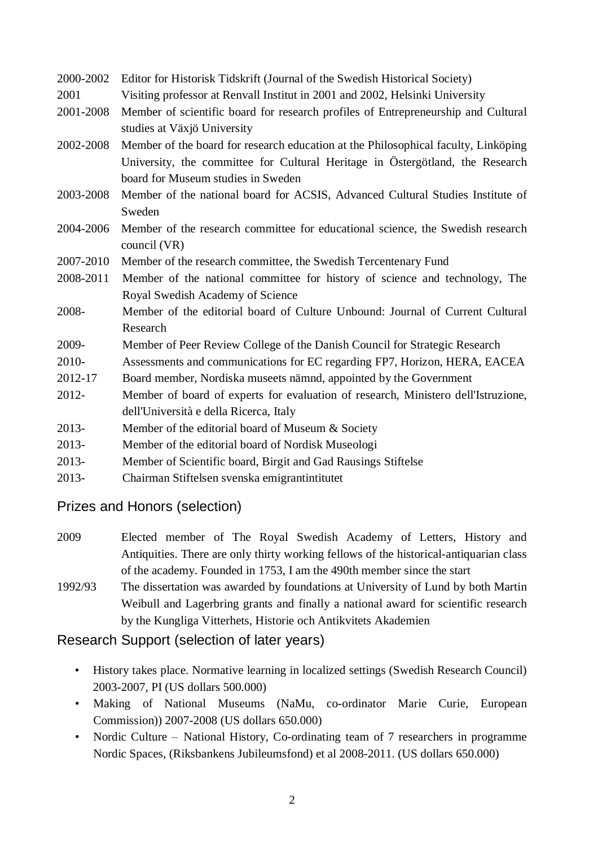### 2000-2002 Editor for Historisk Tidskrift (Journal of the Swedish Historical Society)

- 2001 Visiting professor at Renvall Institut in 2001 and 2002, Helsinki University
- 2001-2008 Member of scientific board for research profiles of Entrepreneurship and Cultural studies at Växjö University
- 2002-2008 Member of the board for research education at the Philosophical faculty, Linköping University, the committee for Cultural Heritage in Östergötland, the Research board for Museum studies in Sweden
- 2003-2008 Member of the national board for ACSIS, Advanced Cultural Studies Institute of Sweden
- 2004-2006 Member of the research committee for educational science, the Swedish research council (VR)
- 2007-2010 Member of the research committee, the Swedish Tercentenary Fund
- 2008-2011 Member of the national committee for history of science and technology, The Royal Swedish Academy of Science
- 2008- Member of the editorial board of Culture Unbound: Journal of Current Cultural Research
- 2009- Member of Peer Review College of the Danish Council for Strategic Research
- 2010- Assessments and communications for EC regarding FP7, Horizon, HERA, EACEA
- 2012-17 Board member, Nordiska museets nämnd, appointed by the Government
- 2012- Member of board of experts for evaluation of research, Ministero dell'Istruzione, dell'Università e della Ricerca, Italy
- 2013- Member of the editorial board of Museum & Society
- 2013- Member of the editorial board of Nordisk Museologi
- 2013- Member of Scientific board, Birgit and Gad Rausings Stiftelse
- 2013- Chairman Stiftelsen svenska emigrantintitutet

# Prizes and Honors (selection)

- 2009 Elected member of The Royal Swedish Academy of Letters, History and Antiquities. There are only thirty working fellows of the historical-antiquarian class of the academy. Founded in 1753, I am the 490th member since the start
- 1992/93 The dissertation was awarded by foundations at University of Lund by both Martin Weibull and Lagerbring grants and finally a national award for scientific research by the Kungliga Vitterhets, Historie och Antikvitets Akademien

# Research Support (selection of later years)

- History takes place. Normative learning in localized settings (Swedish Research Council) 2003-2007, PI (US dollars 500.000)
- Making of National Museums (NaMu, co-ordinator Marie Curie, European Commission)) 2007-2008 (US dollars 650.000)
- Nordic Culture National History, Co-ordinating team of 7 researchers in programme Nordic Spaces, (Riksbankens Jubileumsfond) et al 2008-2011. (US dollars 650.000)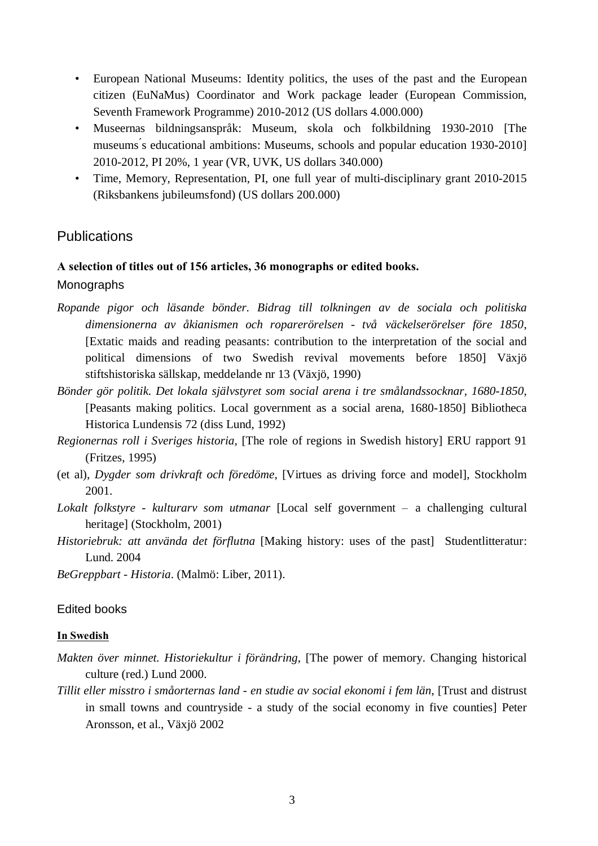- European National Museums: Identity politics, the uses of the past and the European citizen (EuNaMus) Coordinator and Work package leader (European Commission, Seventh Framework Programme) 2010-2012 (US dollars 4.000.000)
- Museernas bildningsanspråk: Museum, skola och folkbildning 1930-2010 [The museums ́s educational ambitions: Museums, schools and popular education 1930-2010] 2010-2012, PI 20%, 1 year (VR, UVK, US dollars 340.000)
- Time, Memory, Representation, PI, one full year of multi-disciplinary grant 2010-2015 (Riksbankens jubileumsfond) (US dollars 200.000)

# **Publications**

### A selection of titles out of 156 articles, 36 monographs or edited books.

#### Monographs

- *Ropande pigor och läsande bönder. Bidrag till tolkningen av de sociala och politiska dimensionerna av åkianismen och roparerörelsen - två väckelserörelser före 1850*, [Extatic maids and reading peasants: contribution to the interpretation of the social and political dimensions of two Swedish revival movements before 1850] Växjö stiftshistoriska sällskap, meddelande nr 13 (Växjö, 1990)
- *Bönder gör politik. Det lokala självstyret som social arena i tre smålandssocknar, 1680-1850*, [Peasants making politics. Local government as a social arena, 1680-1850] Bibliotheca Historica Lundensis 72 (diss Lund, 1992)
- *Regionernas roll i Sveriges historia*, [The role of regions in Swedish history] ERU rapport 91 (Fritzes, 1995)
- (et al), *Dygder som drivkraft och föredöme*, [Virtues as driving force and model], Stockholm 2001.
- *Lokalt folkstyre - kulturarv som utmanar* [Local self government a challenging cultural heritage] (Stockholm, 2001)
- *Historiebruk: att använda det förflutna* [Making history: uses of the past] Studentlitteratur: Lund. 2004

*BeGreppbart - Historia*. (Malmö: Liber, 2011).

#### Edited books

#### In Swedish

- *Makten över minnet. Historiekultur i förändring*, [The power of memory. Changing historical culture (red.) Lund 2000.
- *Tillit eller misstro i småorternas land - en studie av social ekonomi i fem län*, [Trust and distrust in small towns and countryside - a study of the social economy in five counties] Peter Aronsson, et al., Växjö 2002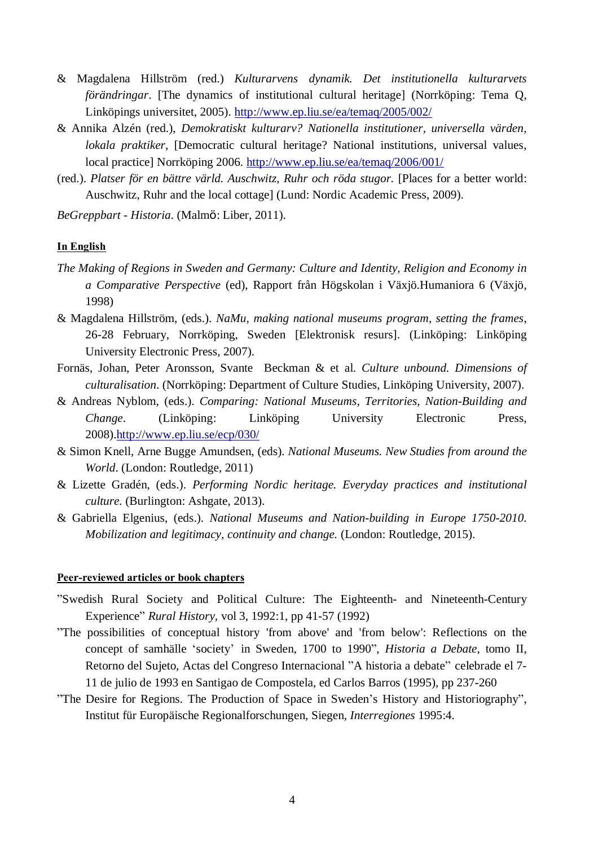- & Magdalena Hillström (red.) *Kulturarvens dynamik. Det institutionella kulturarvets förändringar*. [The dynamics of institutional cultural heritage] (Norrköping: Tema Q, Linköpings universitet, 2005). <http://www.ep.liu.se/ea/temaq/2005/002/>
- & Annika Alzén (red.), *Demokratiskt kulturarv? Nationella institutioner, universella värden, lokala praktiker*, [Democratic cultural heritage? National institutions, universal values, local practice] Norrköping 2006. <http://www.ep.liu.se/ea/temaq/2006/001/>
- (red.). *Platser för en bättre värld. Auschwitz, Ruhr och röda stugor.* [Places for a better world: Auschwitz, Ruhr and the local cottage] (Lund: Nordic Academic Press, 2009).
- *BeGreppbart - Historia*. (Malmö: Liber, 2011).

#### In English

- *The Making of Regions in Sweden and Germany: Culture and Identity, Religion and Economy in a Comparative Perspective* (ed), Rapport från Högskolan i Växjö.Humaniora 6 (Växjö, 1998)
- & Magdalena Hillström, (eds.). *NaMu, making national museums program, setting the frames*, 26-28 February, Norrköping, Sweden [Elektronisk resurs]. (Linköping: Linköping University Electronic Press, 2007).
- Fornäs, Johan, Peter Aronsson, Svante Beckman & et al. *Culture unbound. Dimensions of culturalisation*. (Norrköping: Department of Culture Studies, Linköping University, 2007).
- & Andreas Nyblom, (eds.). *Comparing: National Museums, Territories, Nation-Building and Change*. (Linköping: Linköping University Electronic Press, 2008)[.http://www.ep.liu.se/ecp/030/](http://www.ep.liu.se/ecp/030/)
- & Simon Knell, Arne Bugge Amundsen, (eds). *National Museums. New Studies from around the World*. (London: Routledge, 2011)
- & Lizette Gradén, (eds.). *Performing Nordic heritage. Everyday practices and institutional culture.* (Burlington: Ashgate, 2013).
- & Gabriella Elgenius, (eds.). *National Museums and Nation-building in Europe 1750-2010. Mobilization and legitimacy, continuity and change.* (London: Routledge, 2015).

#### Peer-reviewed articles or book chapters

- "Swedish Rural Society and Political Culture: The Eighteenth- and Nineteenth-Century Experience" *Rural History*, vol 3, 1992:1, pp 41-57 (1992)
- "The possibilities of conceptual history 'from above' and 'from below': Reflections on the concept of samhälle 'society' in Sweden, 1700 to 1990", *Historia a Debate*, tomo II, Retorno del Sujeto, Actas del Congreso Internacional "A historia a debate" celebrade el 7- 11 de julio de 1993 en Santigao de Compostela, ed Carlos Barros (1995), pp 237-260
- "The Desire for Regions. The Production of Space in Sweden's History and Historiography", Institut für Europäische Regionalforschungen, Siegen, *Interregiones* 1995:4.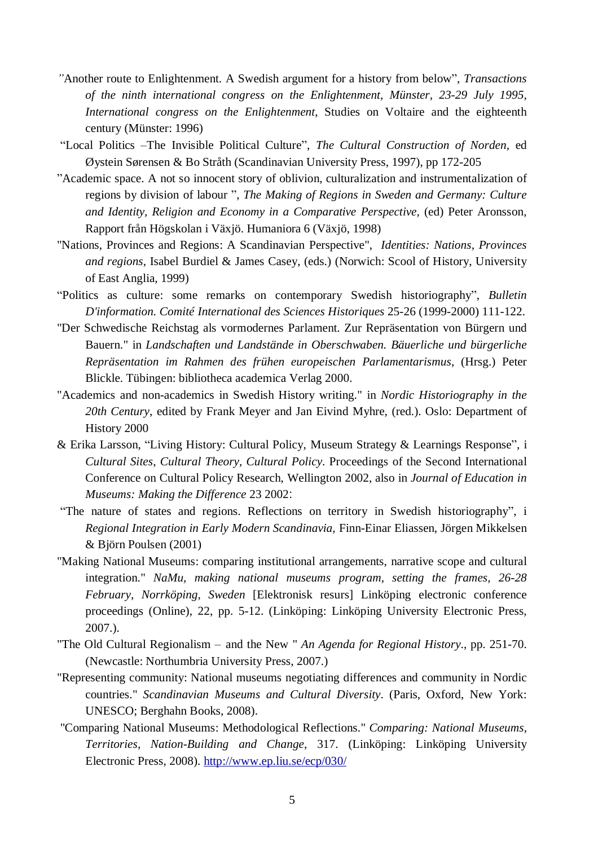- *"*Another route to Enlightenment. A Swedish argument for a history from below", *Transactions of the ninth international congress on the Enlightenment, Münster, 23-29 July 1995, International congress on the Enlightenment*, Studies on Voltaire and the eighteenth century (Münster: 1996)
- "Local Politics –The Invisible Political Culture", *The Cultural Construction of Norden,* ed Øystein Sørensen & Bo Stråth (Scandinavian University Press, 1997), pp 172-205
- "Academic space. A not so innocent story of oblivion, culturalization and instrumentalization of regions by division of labour ", *The Making of Regions in Sweden and Germany: Culture and Identity, Religion and Economy in a Comparative Perspective,* (ed) Peter Aronsson, Rapport från Högskolan i Växjö. Humaniora 6 (Växjö, 1998)
- "Nations, Provinces and Regions: A Scandinavian Perspective", *Identities: Nations, Provinces and regions,* Isabel Burdiel & James Casey, (eds.) (Norwich: Scool of History, University of East Anglia, 1999)
- "Politics as culture: some remarks on contemporary Swedish historiography", *Bulletin D'information. Comité International des Sciences Historiques* 25-26 (1999-2000) 111-122.
- "Der Schwedische Reichstag als vormodernes Parlament. Zur Repräsentation von Bürgern und Bauern." in *Landschaften und Landstände in Oberschwaben. Bäuerliche und bürgerliche Repräsentation im Rahmen des frühen europeischen Parlamentarismus*, (Hrsg.) Peter Blickle. Tübingen: bibliotheca academica Verlag 2000.
- "Academics and non-academics in Swedish History writing." in *Nordic Historiography in the 20th Century*, edited by Frank Meyer and Jan Eivind Myhre, (red.). Oslo: Department of History 2000
- & Erika Larsson, "Living History: Cultural Policy, Museum Strategy & Learnings Response", i *Cultural Sites, Cultural Theory, Cultural Policy*. Proceedings of the Second International Conference on Cultural Policy Research, Wellington 2002, also in *Journal of Education in Museums: Making the Difference* 23 2002:
- "The nature of states and regions. Reflections on territory in Swedish historiography", i *Regional Integration in Early Modern Scandinavia,* Finn-Einar Eliassen, Jörgen Mikkelsen & Björn Poulsen (2001)
- "Making National Museums: comparing institutional arrangements, narrative scope and cultural integration." *NaMu, making national museums program, setting the frames, 26-28 February, Norrköping, Sweden* [Elektronisk resurs] Linköping electronic conference proceedings (Online), 22, pp. 5-12. (Linköping: Linköping University Electronic Press, 2007.).
- "The Old Cultural Regionalism and the New " *An Agenda for Regional History*., pp. 251-70. (Newcastle: Northumbria University Press, 2007.)
- "Representing community: National museums negotiating differences and community in Nordic countries." *Scandinavian Museums and Cultural Diversity*. (Paris, Oxford, New York: UNESCO; Berghahn Books, 2008).
- "Comparing National Museums: Methodological Reflections." *Comparing: National Museums, Territories, Nation-Building and Change*, 317. (Linköping: Linköping University Electronic Press, 2008). <http://www.ep.liu.se/ecp/030/>